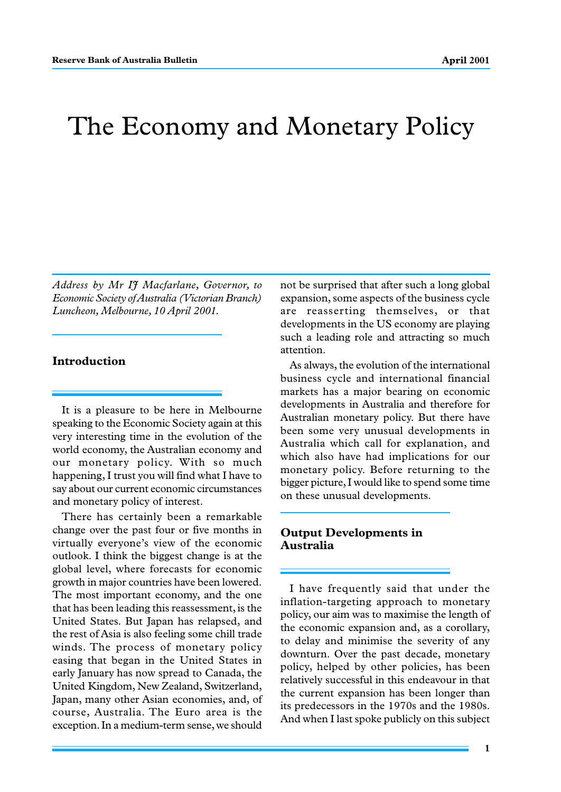# The Economy and Monetary Policy

*Address by Mr IJ Macfarlane, Governor, to Economic Society of Australia (Victorian Branch) Luncheon, Melbourne, 10 April 2001.*

#### **Introduction**

It is a pleasure to be here in Melbourne speaking to the Economic Society again at this very interesting time in the evolution of the world economy, the Australian economy and our monetary policy. With so much happening, I trust you will find what I have to say about our current economic circumstances and monetary policy of interest.

There has certainly been a remarkable change over the past four or five months in virtually everyone's view of the economic outlook. I think the biggest change is at the global level, where forecasts for economic growth in major countries have been lowered. The most important economy, and the one that has been leading this reassessment, is the United States. But Japan has relapsed, and the rest of Asia is also feeling some chill trade winds. The process of monetary policy easing that began in the United States in early January has now spread to Canada, the United Kingdom, New Zealand, Switzerland, Japan, many other Asian economies, and, of course, Australia. The Euro area is the exception. In a medium-term sense, we should not be surprised that after such a long global expansion, some aspects of the business cycle are reasserting themselves, or that developments in the US economy are playing such a leading role and attracting so much attention.

As always, the evolution of the international business cycle and international financial markets has a major bearing on economic developments in Australia and therefore for Australian monetary policy. But there have been some very unusual developments in Australia which call for explanation, and which also have had implications for our monetary policy. Before returning to the bigger picture, I would like to spend some time on these unusual developments.

## **Output Developments in Australia**

I have frequently said that under the inflation-targeting approach to monetary policy, our aim was to maximise the length of the economic expansion and, as a corollary, to delay and minimise the severity of any downturn. Over the past decade, monetary policy, helped by other policies, has been relatively successful in this endeavour in that the current expansion has been longer than its predecessors in the 1970s and the 1980s. And when I last spoke publicly on this subject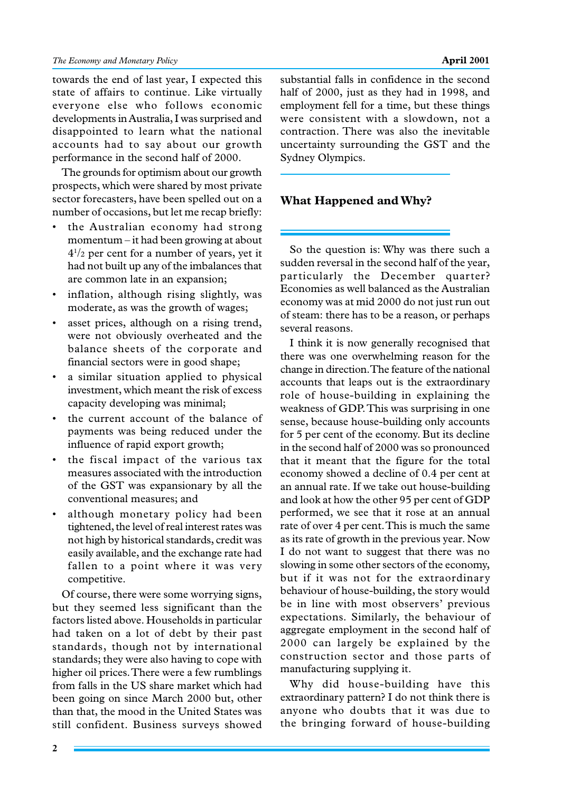towards the end of last year, I expected this state of affairs to continue. Like virtually everyone else who follows economic developments in Australia, I was surprised and disappointed to learn what the national accounts had to say about our growth performance in the second half of 2000.

The grounds for optimism about our growth prospects, which were shared by most private sector forecasters, have been spelled out on a number of occasions, but let me recap briefly:

- the Australian economy had strong momentum – it had been growing at about  $4^{1/2}$  per cent for a number of years, yet it had not built up any of the imbalances that are common late in an expansion;
- inflation, although rising slightly, was moderate, as was the growth of wages;
- asset prices, although on a rising trend, were not obviously overheated and the balance sheets of the corporate and financial sectors were in good shape;
- a similar situation applied to physical investment, which meant the risk of excess capacity developing was minimal;
- the current account of the balance of payments was being reduced under the influence of rapid export growth;
- the fiscal impact of the various tax measures associated with the introduction of the GST was expansionary by all the conventional measures; and
- although monetary policy had been tightened, the level of real interest rates was not high by historical standards, credit was easily available, and the exchange rate had fallen to a point where it was very competitive.

Of course, there were some worrying signs, but they seemed less significant than the factors listed above. Households in particular had taken on a lot of debt by their past standards, though not by international standards; they were also having to cope with higher oil prices. There were a few rumblings from falls in the US share market which had been going on since March 2000 but, other than that, the mood in the United States was still confident. Business surveys showed

substantial falls in confidence in the second half of 2000, just as they had in 1998, and employment fell for a time, but these things were consistent with a slowdown, not a contraction. There was also the inevitable uncertainty surrounding the GST and the Sydney Olympics.

## **What Happened and Why?**

So the question is: Why was there such a sudden reversal in the second half of the year, particularly the December quarter? Economies as well balanced as the Australian economy was at mid 2000 do not just run out of steam: there has to be a reason, or perhaps several reasons.

I think it is now generally recognised that there was one overwhelming reason for the change in direction. The feature of the national accounts that leaps out is the extraordinary role of house-building in explaining the weakness of GDP. This was surprising in one sense, because house-building only accounts for 5 per cent of the economy. But its decline in the second half of 2000 was so pronounced that it meant that the figure for the total economy showed a decline of 0.4 per cent at an annual rate. If we take out house-building and look at how the other 95 per cent of GDP performed, we see that it rose at an annual rate of over 4 per cent. This is much the same as its rate of growth in the previous year. Now I do not want to suggest that there was no slowing in some other sectors of the economy, but if it was not for the extraordinary behaviour of house-building, the story would be in line with most observers' previous expectations. Similarly, the behaviour of aggregate employment in the second half of 2000 can largely be explained by the construction sector and those parts of manufacturing supplying it.

Why did house-building have this extraordinary pattern? I do not think there is anyone who doubts that it was due to the bringing forward of house-building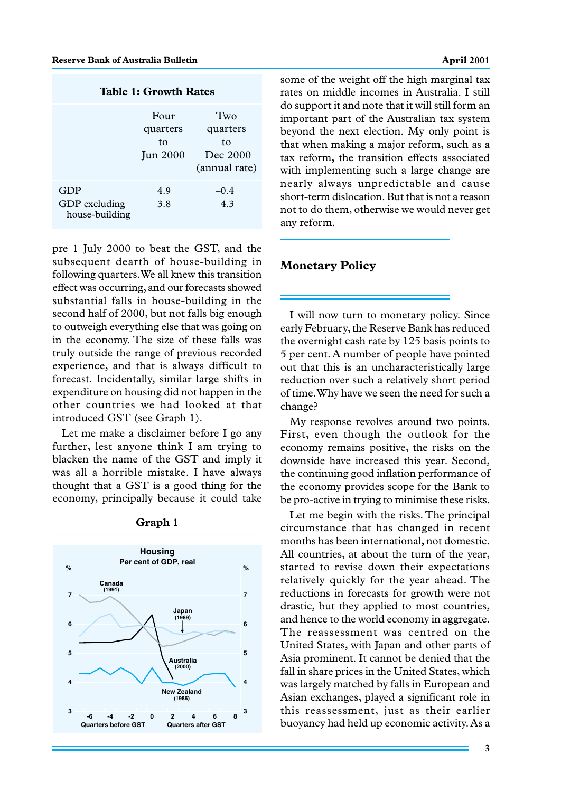|  |  | Table 1: Growth Rates |  |
|--|--|-----------------------|--|
|--|--|-----------------------|--|

|                                        | Four<br>quarters<br>tο<br><b>Jun 2000</b> | Two<br>quarters<br>tο<br>Dec 2000<br>(annual rate) |
|----------------------------------------|-------------------------------------------|----------------------------------------------------|
| GDP<br>GDP excluding<br>house-building | 4.9<br>3.8                                | $-0.4$<br>4.3                                      |

pre 1 July 2000 to beat the GST, and the subsequent dearth of house-building in following quarters. We all knew this transition effect was occurring, and our forecasts showed substantial falls in house-building in the second half of 2000, but not falls big enough to outweigh everything else that was going on in the economy. The size of these falls was truly outside the range of previous recorded experience, and that is always difficult to forecast. Incidentally, similar large shifts in expenditure on housing did not happen in the other countries we had looked at that introduced GST (see Graph 1).

Let me make a disclaimer before I go any further, lest anyone think I am trying to blacken the name of the GST and imply it was all a horrible mistake. I have always thought that a GST is a good thing for the economy, principally because it could take

| <b>Housing</b><br>Per cent of GDP, real |                            |                                  |                |  |  |  |
|-----------------------------------------|----------------------------|----------------------------------|----------------|--|--|--|
| %                                       |                            |                                  | %              |  |  |  |
| $\overline{7}$                          | Canada<br>(1991)           |                                  | $\overline{7}$ |  |  |  |
| 6                                       |                            | Japan<br>(1989)                  | 6              |  |  |  |
| 5                                       |                            |                                  | 5              |  |  |  |
| 4                                       |                            | <b>Australia</b><br>(2000)       | 4              |  |  |  |
|                                         |                            | <b>New Zealand</b><br>(1986)     |                |  |  |  |
| 3                                       | -6<br>$-4$<br>$-2$         | 8<br>0<br>4<br>6<br>$\mathbf{2}$ | 3              |  |  |  |
|                                         | <b>Quarters before GST</b> | <b>Quarters after GST</b>        |                |  |  |  |

#### **Graph 1**

some of the weight off the high marginal tax rates on middle incomes in Australia. I still do support it and note that it will still form an important part of the Australian tax system beyond the next election. My only point is that when making a major reform, such as a tax reform, the transition effects associated with implementing such a large change are nearly always unpredictable and cause short-term dislocation. But that is not a reason not to do them, otherwise we would never get any reform.

## **Monetary Policy**

I will now turn to monetary policy. Since early February, the Reserve Bank has reduced the overnight cash rate by 125 basis points to 5 per cent. A number of people have pointed out that this is an uncharacteristically large reduction over such a relatively short period of time. Why have we seen the need for such a change?

My response revolves around two points. First, even though the outlook for the economy remains positive, the risks on the downside have increased this year. Second, the continuing good inflation performance of the economy provides scope for the Bank to be pro-active in trying to minimise these risks.

Let me begin with the risks. The principal circumstance that has changed in recent months has been international, not domestic. All countries, at about the turn of the year, started to revise down their expectations relatively quickly for the year ahead. The reductions in forecasts for growth were not drastic, but they applied to most countries, and hence to the world economy in aggregate. The reassessment was centred on the United States, with Japan and other parts of Asia prominent. It cannot be denied that the fall in share prices in the United States, which was largely matched by falls in European and Asian exchanges, played a significant role in this reassessment, just as their earlier buoyancy had held up economic activity. As a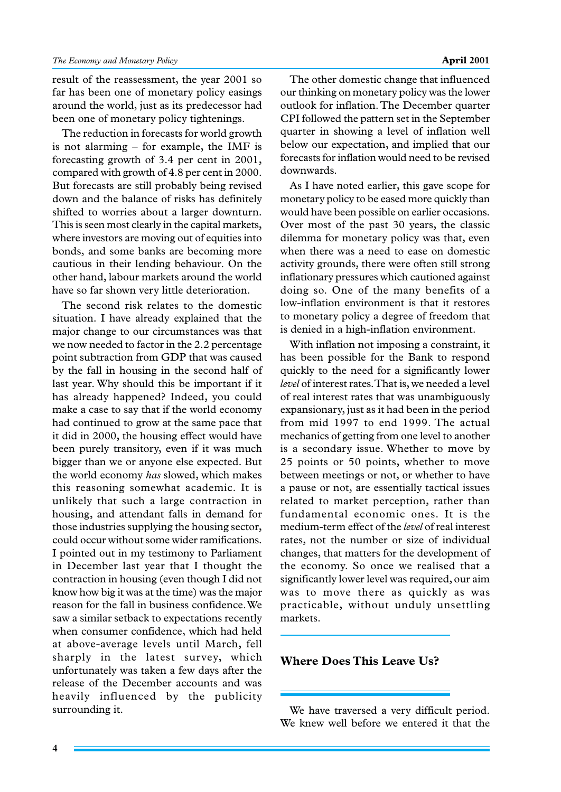result of the reassessment, the year 2001 so far has been one of monetary policy easings around the world, just as its predecessor had been one of monetary policy tightenings.

The reduction in forecasts for world growth is not alarming – for example, the IMF is forecasting growth of 3.4 per cent in 2001, compared with growth of 4.8 per cent in 2000. But forecasts are still probably being revised down and the balance of risks has definitely shifted to worries about a larger downturn. This is seen most clearly in the capital markets, where investors are moving out of equities into bonds, and some banks are becoming more cautious in their lending behaviour. On the other hand, labour markets around the world have so far shown very little deterioration.

The second risk relates to the domestic situation. I have already explained that the major change to our circumstances was that we now needed to factor in the 2.2 percentage point subtraction from GDP that was caused by the fall in housing in the second half of last year. Why should this be important if it has already happened? Indeed, you could make a case to say that if the world economy had continued to grow at the same pace that it did in 2000, the housing effect would have been purely transitory, even if it was much bigger than we or anyone else expected. But the world economy *has* slowed, which makes this reasoning somewhat academic. It is unlikely that such a large contraction in housing, and attendant falls in demand for those industries supplying the housing sector, could occur without some wider ramifications. I pointed out in my testimony to Parliament in December last year that I thought the contraction in housing (even though I did not know how big it was at the time) was the major reason for the fall in business confidence. We saw a similar setback to expectations recently when consumer confidence, which had held at above-average levels until March, fell sharply in the latest survey, which unfortunately was taken a few days after the release of the December accounts and was heavily influenced by the publicity surrounding it.

The other domestic change that influenced our thinking on monetary policy was the lower outlook for inflation. The December quarter CPI followed the pattern set in the September quarter in showing a level of inflation well below our expectation, and implied that our forecasts for inflation would need to be revised downwards.

As I have noted earlier, this gave scope for monetary policy to be eased more quickly than would have been possible on earlier occasions. Over most of the past 30 years, the classic dilemma for monetary policy was that, even when there was a need to ease on domestic activity grounds, there were often still strong inflationary pressures which cautioned against doing so. One of the many benefits of a low-inflation environment is that it restores to monetary policy a degree of freedom that is denied in a high-inflation environment.

With inflation not imposing a constraint, it has been possible for the Bank to respond quickly to the need for a significantly lower *level* of interest rates. That is, we needed a level of real interest rates that was unambiguously expansionary, just as it had been in the period from mid 1997 to end 1999. The actual mechanics of getting from one level to another is a secondary issue. Whether to move by 25 points or 50 points, whether to move between meetings or not, or whether to have a pause or not, are essentially tactical issues related to market perception, rather than fundamental economic ones. It is the medium-term effect of the *level* of real interest rates, not the number or size of individual changes, that matters for the development of the economy. So once we realised that a significantly lower level was required, our aim was to move there as quickly as was practicable, without unduly unsettling markets.

#### **Where Does This Leave Us?**

We have traversed a very difficult period. We knew well before we entered it that the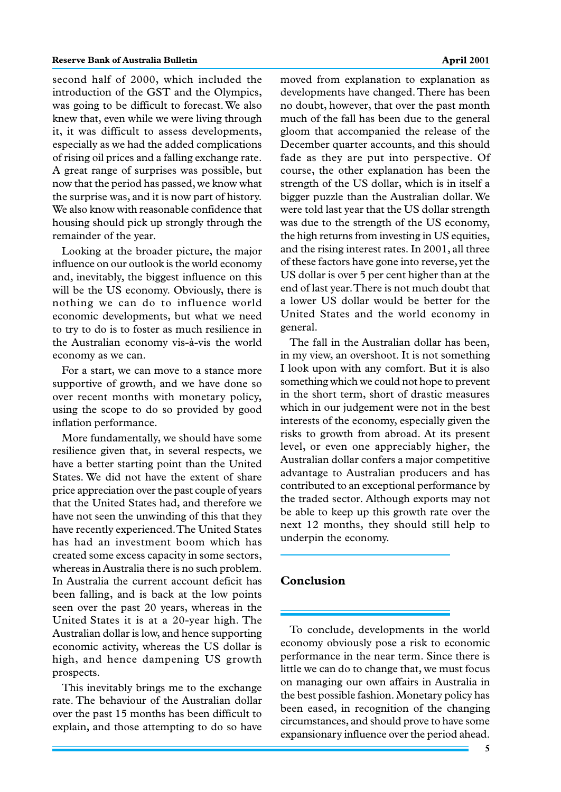second half of 2000, which included the introduction of the GST and the Olympics, was going to be difficult to forecast. We also knew that, even while we were living through it, it was difficult to assess developments, especially as we had the added complications of rising oil prices and a falling exchange rate. A great range of surprises was possible, but now that the period has passed, we know what the surprise was, and it is now part of history. We also know with reasonable confidence that housing should pick up strongly through the remainder of the year.

Looking at the broader picture, the major influence on our outlook is the world economy and, inevitably, the biggest influence on this will be the US economy. Obviously, there is nothing we can do to influence world economic developments, but what we need to try to do is to foster as much resilience in the Australian economy vis-à-vis the world economy as we can.

For a start, we can move to a stance more supportive of growth, and we have done so over recent months with monetary policy, using the scope to do so provided by good inflation performance.

More fundamentally, we should have some resilience given that, in several respects, we have a better starting point than the United States. We did not have the extent of share price appreciation over the past couple of years that the United States had, and therefore we have not seen the unwinding of this that they have recently experienced. The United States has had an investment boom which has created some excess capacity in some sectors, whereas in Australia there is no such problem. In Australia the current account deficit has been falling, and is back at the low points seen over the past 20 years, whereas in the United States it is at a 20-year high. The Australian dollar is low, and hence supporting economic activity, whereas the US dollar is high, and hence dampening US growth prospects.

This inevitably brings me to the exchange rate. The behaviour of the Australian dollar over the past 15 months has been difficult to explain, and those attempting to do so have

moved from explanation to explanation as developments have changed. There has been no doubt, however, that over the past month much of the fall has been due to the general gloom that accompanied the release of the December quarter accounts, and this should fade as they are put into perspective. Of course, the other explanation has been the strength of the US dollar, which is in itself a bigger puzzle than the Australian dollar. We were told last year that the US dollar strength was due to the strength of the US economy, the high returns from investing in US equities, and the rising interest rates. In 2001, all three of these factors have gone into reverse, yet the US dollar is over 5 per cent higher than at the end of last year. There is not much doubt that a lower US dollar would be better for the United States and the world economy in general.

The fall in the Australian dollar has been, in my view, an overshoot. It is not something I look upon with any comfort. But it is also something which we could not hope to prevent in the short term, short of drastic measures which in our judgement were not in the best interests of the economy, especially given the risks to growth from abroad. At its present level, or even one appreciably higher, the Australian dollar confers a major competitive advantage to Australian producers and has contributed to an exceptional performance by the traded sector. Although exports may not be able to keep up this growth rate over the next 12 months, they should still help to underpin the economy.

### **Conclusion**

To conclude, developments in the world economy obviously pose a risk to economic performance in the near term. Since there is little we can do to change that, we must focus on managing our own affairs in Australia in the best possible fashion. Monetary policy has been eased, in recognition of the changing circumstances, and should prove to have some expansionary influence over the period ahead.